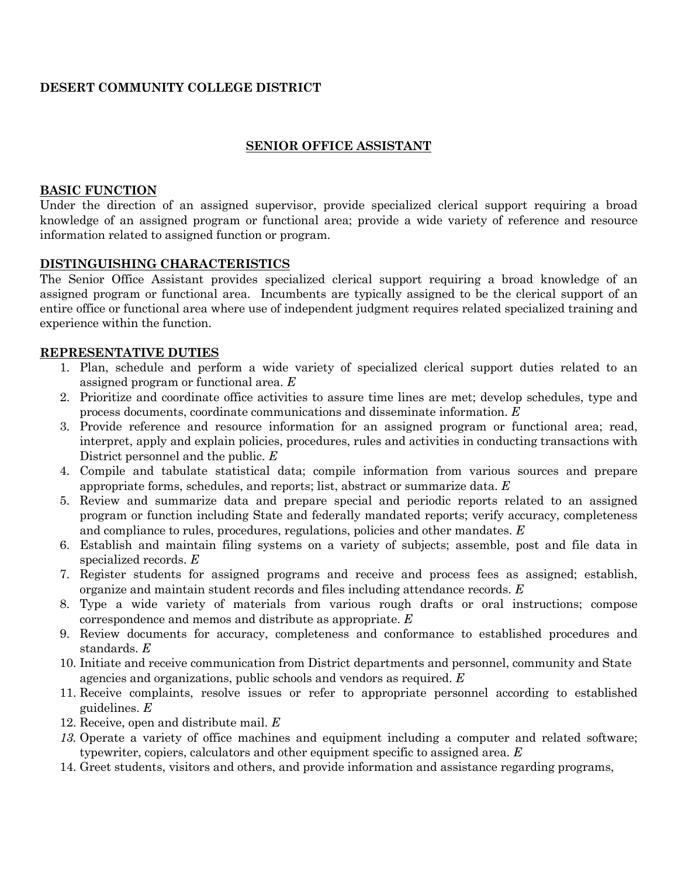# **DESERT COMMUNITY COLLEGE DISTRICT**

## **SENIOR OFFICE ASSISTANT**

#### **BASIC FUNCTION**

Under the direction of an assigned supervisor, provide specialized clerical support requiring a broad knowledge of an assigned program or functional area; provide a wide variety of reference and resource information related to assigned function or program.

## **DISTINGUISHING CHARACTERISTICS**

The Senior Office Assistant provides specialized clerical support requiring a broad knowledge of an assigned program or functional area. Incumbents are typically assigned to be the clerical support of an entire office or functional area where use of independent judgment requires related specialized training and experience within the function.

#### **REPRESENTATIVE DUTIES**

- 1. Plan, schedule and perform a wide variety of specialized clerical support duties related to an assigned program or functional area. *E*
- 2. Prioritize and coordinate office activities to assure time lines are met; develop schedules, type and process documents, coordinate communications and disseminate information. *E*
- 3. Provide reference and resource information for an assigned program or functional area; read, interpret, apply and explain policies, procedures, rules and activities in conducting transactions with District personnel and the public. *E*
- 4. Compile and tabulate statistical data; compile information from various sources and prepare appropriate forms, schedules, and reports; list, abstract or summarize data. *E*
- 5. Review and summarize data and prepare special and periodic reports related to an assigned program or function including State and federally mandated reports; verify accuracy, completeness and compliance to rules, procedures, regulations, policies and other mandates. *E*
- 6. Establish and maintain filing systems on a variety of subjects; assemble, post and file data in specialized records. *E*
- 7. Register students for assigned programs and receive and process fees as assigned; establish, organize and maintain student records and files including attendance records. *E*
- 8. Type a wide variety of materials from various rough drafts or oral instructions; compose correspondence and memos and distribute as appropriate. *E*
- 9. Review documents for accuracy, completeness and conformance to established procedures and standards. *E*
- 10. Initiate and receive communication from District departments and personnel, community and State agencies and organizations, public schools and vendors as required. *E*
- 11. Receive complaints, resolve issues or refer to appropriate personnel according to established guidelines. *E*
- 12. Receive, open and distribute mail. *E*
- *13.* Operate a variety of office machines and equipment including a computer and related software; typewriter, copiers, calculators and other equipment specific to assigned area. *E*
- 14. Greet students, visitors and others, and provide information and assistance regarding programs,